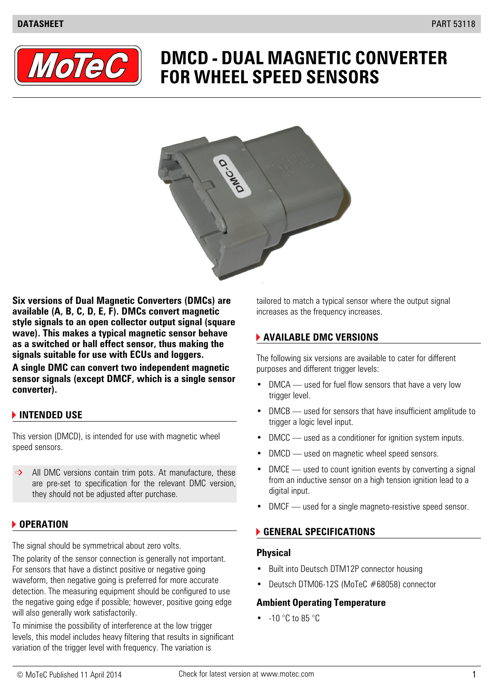

# **DMCD - DUAL MAGNETIC CONVERTER FOR WHEEL SPEED SENSORS**



**Six versions of Dual Magnetic Converters (DMCs) are tailored to match a typical sensor where the output signal available (A, B, C, D, E, F). DMCs convert magnetic** increases as the frequency increases. **style signals to an open collector output signal (square wave). This makes a typical magnetic sensor behave AVAILABLE DMC VERSIONS as a switched or hall effect sensor, thus making the signals suitable for use with ECUs and loggers.**

**A single DMC can convert two independent magnetic** purposes and different trigger levels: **sensor signals (except DMCF, which is a single sensor converter).**

### **INTENDED USE**

This version (DMCD), is intended for use with magnetic wheel • DMCC — used as a conditioner for ignition system inputs. speed sensors.

are pre-set to specification for the relevant DMC version, they should not be adjusted after purchase.

### **OPERATION**

The signal should be symmetrical about zero volts.

The polarity of the sensor connection is generally not important. For sensors that have a distinct positive or negative going **•** Built into Deutsch DTM12P connector housing waveform, then negative going is preferred for more accurate detection. The measuring equipment should be configured to use the negative going edge if possible; however, positive going edge **Ambient Operating Temperature** will also generally work satisfactorily.

To minimise the possibility of interference at the low trigger levels, this model includes heavy filtering that results in significant variation of the trigger level with frequency. The variation is

The following six versions are available to cater for different

- DMCA used for fuel flow sensors that have a very low trigger level.
- DMCB used for sensors that have insufficient amplitude to trigger a logic level input.
- 
- DMCD used on magnetic wheel speed sensors.
- All DMC versions contain trim pots. At manufacture, these DMCE used to count ignition events by converting a signal from an inductive sensor on a high tension ignition lead to a digital input.
	- DMCF used for a single magneto-resistive speed sensor.

### **GENERAL SPECIFICATIONS**

#### **Physical**

- 
- Deutsch DTM06-12S (MoTeC #68058) connector

•  $-10$  °C to 85 °C